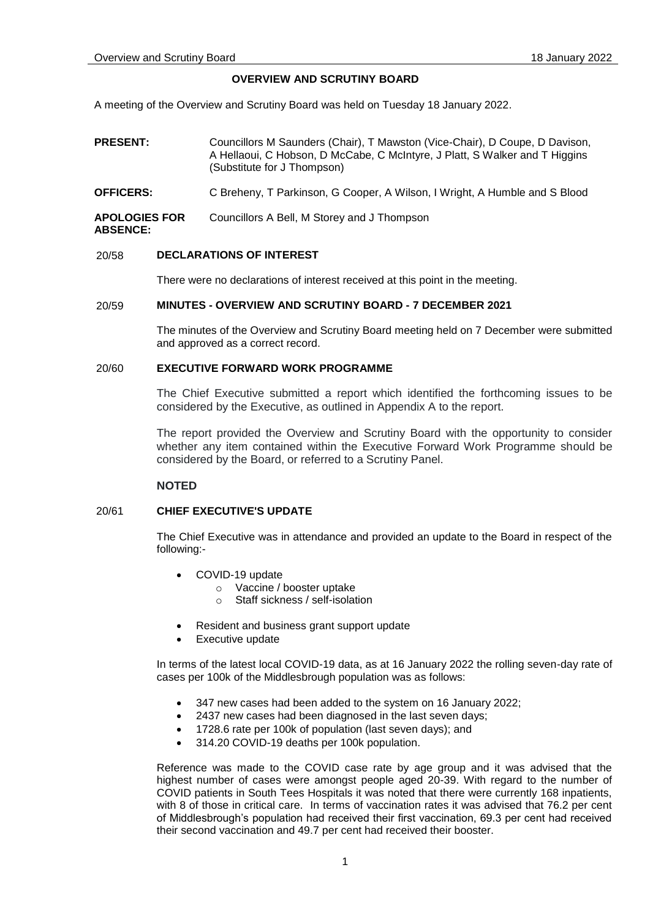# **OVERVIEW AND SCRUTINY BOARD**

A meeting of the Overview and Scrutiny Board was held on Tuesday 18 January 2022.

- **PRESENT:** Councillors M Saunders (Chair), T Mawston (Vice-Chair), D Coupe, D Davison, A Hellaoui, C Hobson, D McCabe, C McIntyre, J Platt, S Walker and T Higgins (Substitute for J Thompson)
- **OFFICERS:** C Breheny, T Parkinson, G Cooper, A Wilson, I Wright, A Humble and S Blood

**APOLOGIES FOR**  Councillors A Bell, M Storey and J Thompson

#### **ABSENCE:**

#### 20/58 **DECLARATIONS OF INTEREST**

There were no declarations of interest received at this point in the meeting.

# 20/59 **MINUTES - OVERVIEW AND SCRUTINY BOARD - 7 DECEMBER 2021**

The minutes of the Overview and Scrutiny Board meeting held on 7 December were submitted and approved as a correct record.

# 20/60 **EXECUTIVE FORWARD WORK PROGRAMME**

The Chief Executive submitted a report which identified the forthcoming issues to be considered by the Executive, as outlined in Appendix A to the report.

The report provided the Overview and Scrutiny Board with the opportunity to consider whether any item contained within the Executive Forward Work Programme should be considered by the Board, or referred to a Scrutiny Panel.

## **NOTED**

# 20/61 **CHIEF EXECUTIVE'S UPDATE**

The Chief Executive was in attendance and provided an update to the Board in respect of the following:-

- COVID-19 update
	- o Vaccine / booster uptake
	- o Staff sickness / self-isolation
- Resident and business grant support update
- Executive update

In terms of the latest local COVID-19 data, as at 16 January 2022 the rolling seven-day rate of cases per 100k of the Middlesbrough population was as follows:

- 347 new cases had been added to the system on 16 January 2022;
- 2437 new cases had been diagnosed in the last seven days;
- 1728.6 rate per 100k of population (last seven days); and
- 314.20 COVID-19 deaths per 100k population.

Reference was made to the COVID case rate by age group and it was advised that the highest number of cases were amongst people aged 20-39. With regard to the number of COVID patients in South Tees Hospitals it was noted that there were currently 168 inpatients, with 8 of those in critical care. In terms of vaccination rates it was advised that 76.2 per cent of Middlesbrough's population had received their first vaccination, 69.3 per cent had received their second vaccination and 49.7 per cent had received their booster.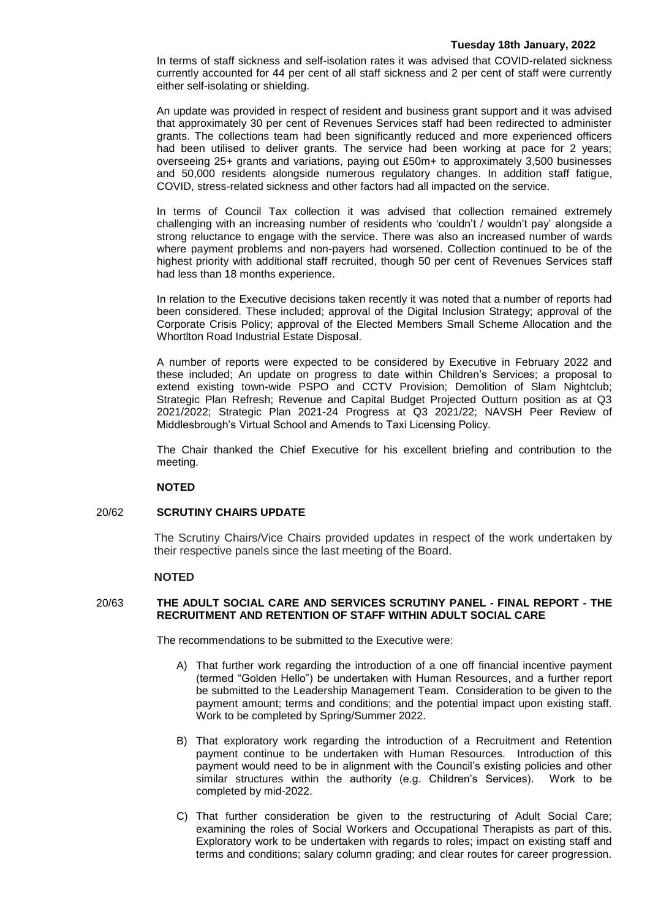#### **Tuesday 18th January, 2022**

In terms of staff sickness and self-isolation rates it was advised that COVID-related sickness currently accounted for 44 per cent of all staff sickness and 2 per cent of staff were currently either self-isolating or shielding.

An update was provided in respect of resident and business grant support and it was advised that approximately 30 per cent of Revenues Services staff had been redirected to administer grants. The collections team had been significantly reduced and more experienced officers had been utilised to deliver grants. The service had been working at pace for 2 years; overseeing 25+ grants and variations, paying out £50m+ to approximately 3,500 businesses and 50,000 residents alongside numerous regulatory changes. In addition staff fatigue, COVID, stress-related sickness and other factors had all impacted on the service.

In terms of Council Tax collection it was advised that collection remained extremely challenging with an increasing number of residents who 'couldn't / wouldn't pay' alongside a strong reluctance to engage with the service. There was also an increased number of wards where payment problems and non-payers had worsened. Collection continued to be of the highest priority with additional staff recruited, though 50 per cent of Revenues Services staff had less than 18 months experience.

In relation to the Executive decisions taken recently it was noted that a number of reports had been considered. These included; approval of the Digital Inclusion Strategy; approval of the Corporate Crisis Policy; approval of the Elected Members Small Scheme Allocation and the Whortlton Road Industrial Estate Disposal.

A number of reports were expected to be considered by Executive in February 2022 and these included; An update on progress to date within Children's Services; a proposal to extend existing town-wide PSPO and CCTV Provision; Demolition of Slam Nightclub; Strategic Plan Refresh; Revenue and Capital Budget Projected Outturn position as at Q3 2021/2022; Strategic Plan 2021-24 Progress at Q3 2021/22; NAVSH Peer Review of Middlesbrough's Virtual School and Amends to Taxi Licensing Policy.

The Chair thanked the Chief Executive for his excellent briefing and contribution to the meeting.

## **NOTED**

## 20/62 **SCRUTINY CHAIRS UPDATE**

The Scrutiny Chairs/Vice Chairs provided updates in respect of the work undertaken by their respective panels since the last meeting of the Board.

## **NOTED**

# 20/63 **THE ADULT SOCIAL CARE AND SERVICES SCRUTINY PANEL - FINAL REPORT - THE RECRUITMENT AND RETENTION OF STAFF WITHIN ADULT SOCIAL CARE**

The recommendations to be submitted to the Executive were:

- A) That further work regarding the introduction of a one off financial incentive payment (termed "Golden Hello") be undertaken with Human Resources, and a further report be submitted to the Leadership Management Team. Consideration to be given to the payment amount; terms and conditions; and the potential impact upon existing staff. Work to be completed by Spring/Summer 2022.
- B) That exploratory work regarding the introduction of a Recruitment and Retention payment continue to be undertaken with Human Resources. Introduction of this payment would need to be in alignment with the Council's existing policies and other similar structures within the authority (e.g. Children's Services). Work to be completed by mid-2022.
- C) That further consideration be given to the restructuring of Adult Social Care; examining the roles of Social Workers and Occupational Therapists as part of this. Exploratory work to be undertaken with regards to roles; impact on existing staff and terms and conditions; salary column grading; and clear routes for career progression.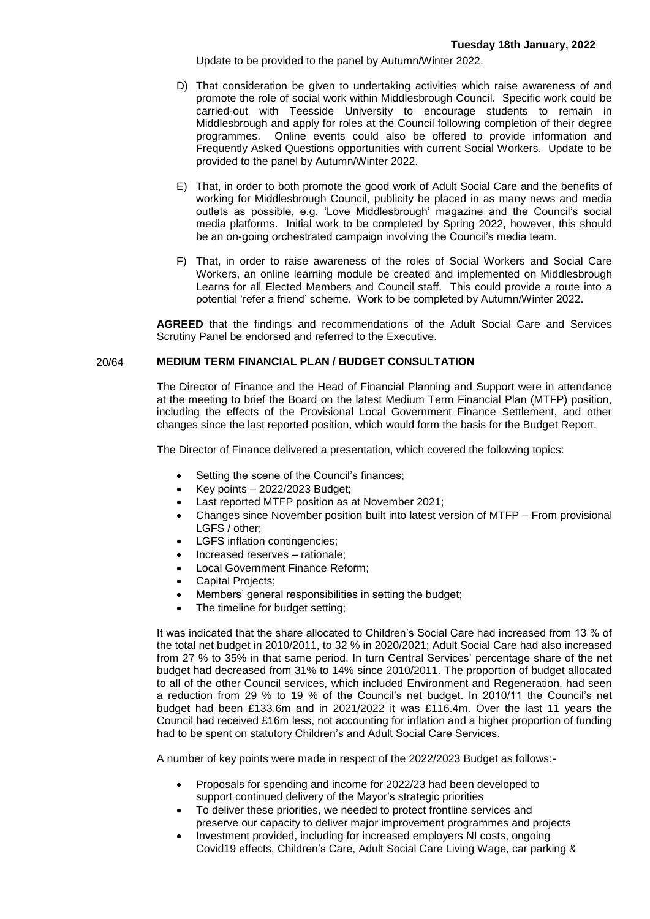Update to be provided to the panel by Autumn/Winter 2022.

- D) That consideration be given to undertaking activities which raise awareness of and promote the role of social work within Middlesbrough Council. Specific work could be carried-out with Teesside University to encourage students to remain in Middlesbrough and apply for roles at the Council following completion of their degree programmes. Online events could also be offered to provide information and Frequently Asked Questions opportunities with current Social Workers. Update to be provided to the panel by Autumn/Winter 2022.
- E) That, in order to both promote the good work of Adult Social Care and the benefits of working for Middlesbrough Council, publicity be placed in as many news and media outlets as possible, e.g. 'Love Middlesbrough' magazine and the Council's social media platforms. Initial work to be completed by Spring 2022, however, this should be an on-going orchestrated campaign involving the Council's media team.
- F) That, in order to raise awareness of the roles of Social Workers and Social Care Workers, an online learning module be created and implemented on Middlesbrough Learns for all Elected Members and Council staff. This could provide a route into a potential 'refer a friend' scheme. Work to be completed by Autumn/Winter 2022.

**AGREED** that the findings and recommendations of the Adult Social Care and Services Scrutiny Panel be endorsed and referred to the Executive.

## 20/64 **MEDIUM TERM FINANCIAL PLAN / BUDGET CONSULTATION**

The Director of Finance and the Head of Financial Planning and Support were in attendance at the meeting to brief the Board on the latest Medium Term Financial Plan (MTFP) position, including the effects of the Provisional Local Government Finance Settlement, and other changes since the last reported position, which would form the basis for the Budget Report.

The Director of Finance delivered a presentation, which covered the following topics:

- Setting the scene of the Council's finances;
- Key points 2022/2023 Budget;
- Last reported MTFP position as at November 2021;
- Changes since November position built into latest version of MTFP From provisional LGFS / other;
- LGFS inflation contingencies;
- Increased reserves rationale;
- Local Government Finance Reform;
- Capital Projects;
- Members' general responsibilities in setting the budget;
- The timeline for budget setting;

It was indicated that the share allocated to Children's Social Care had increased from 13 % of the total net budget in 2010/2011, to 32 % in 2020/2021; Adult Social Care had also increased from 27 % to 35% in that same period. In turn Central Services' percentage share of the net budget had decreased from 31% to 14% since 2010/2011. The proportion of budget allocated to all of the other Council services, which included Environment and Regeneration, had seen a reduction from 29 % to 19 % of the Council's net budget. In 2010/11 the Council's net budget had been £133.6m and in 2021/2022 it was £116.4m. Over the last 11 years the Council had received £16m less, not accounting for inflation and a higher proportion of funding had to be spent on statutory Children's and Adult Social Care Services.

A number of key points were made in respect of the 2022/2023 Budget as follows:-

- Proposals for spending and income for 2022/23 had been developed to support continued delivery of the Mayor's strategic priorities
- To deliver these priorities, we needed to protect frontline services and preserve our capacity to deliver major improvement programmes and projects
- Investment provided, including for increased employers NI costs, ongoing Covid19 effects, Children's Care, Adult Social Care Living Wage, car parking &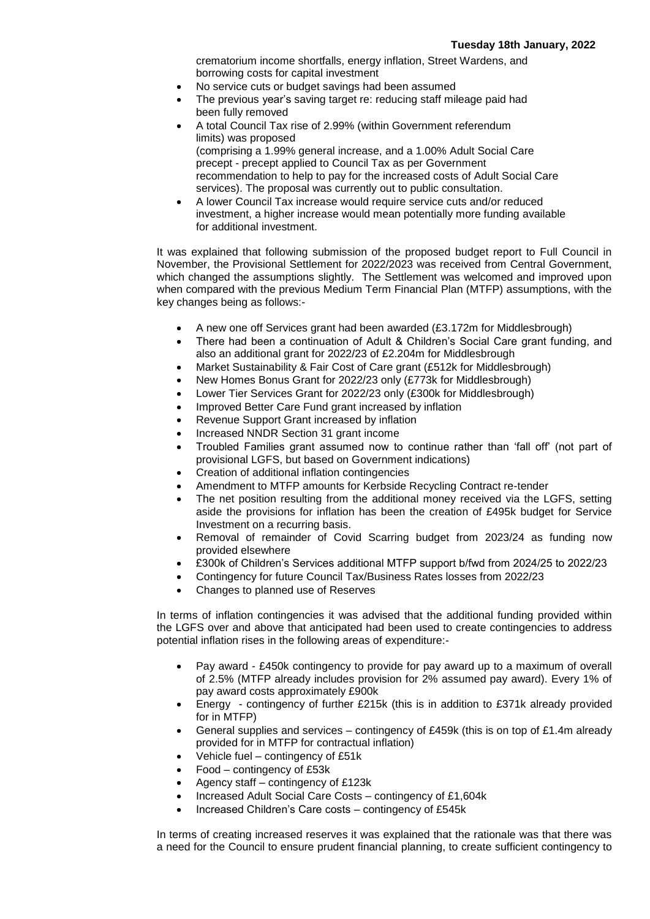crematorium income shortfalls, energy inflation, Street Wardens, and borrowing costs for capital investment

- No service cuts or budget savings had been assumed
- The previous year's saving target re: reducing staff mileage paid had been fully removed
- A total Council Tax rise of 2.99% (within Government referendum limits) was proposed (comprising a 1.99% general increase, and a 1.00% Adult Social Care precept - precept applied to Council Tax as per Government recommendation to help to pay for the increased costs of Adult Social Care services). The proposal was currently out to public consultation.
- A lower Council Tax increase would require service cuts and/or reduced investment, a higher increase would mean potentially more funding available for additional investment.

It was explained that following submission of the proposed budget report to Full Council in November, the Provisional Settlement for 2022/2023 was received from Central Government, which changed the assumptions slightly. The Settlement was welcomed and improved upon when compared with the previous Medium Term Financial Plan (MTFP) assumptions, with the key changes being as follows:-

- A new one off Services grant had been awarded (£3.172m for Middlesbrough)
- There had been a continuation of Adult & Children's Social Care grant funding, and also an additional grant for 2022/23 of £2.204m for Middlesbrough
- Market Sustainability & Fair Cost of Care grant (£512k for Middlesbrough)
- New Homes Bonus Grant for 2022/23 only (£773k for Middlesbrough)
- Lower Tier Services Grant for 2022/23 only (£300k for Middlesbrough)
- Improved Better Care Fund grant increased by inflation
- Revenue Support Grant increased by inflation
- Increased NNDR Section 31 grant income
- Troubled Families grant assumed now to continue rather than 'fall off' (not part of provisional LGFS, but based on Government indications)
- Creation of additional inflation contingencies
- Amendment to MTFP amounts for Kerbside Recycling Contract re-tender
- The net position resulting from the additional money received via the LGFS, setting aside the provisions for inflation has been the creation of £495k budget for Service Investment on a recurring basis.
- Removal of remainder of Covid Scarring budget from 2023/24 as funding now provided elsewhere
- £300k of Children's Services additional MTFP support b/fwd from 2024/25 to 2022/23
- Contingency for future Council Tax/Business Rates losses from 2022/23
- Changes to planned use of Reserves

In terms of inflation contingencies it was advised that the additional funding provided within the LGFS over and above that anticipated had been used to create contingencies to address potential inflation rises in the following areas of expenditure:-

- Pay award £450k contingency to provide for pay award up to a maximum of overall of 2.5% (MTFP already includes provision for 2% assumed pay award). Every 1% of pay award costs approximately £900k
- Energy contingency of further £215k (this is in addition to £371k already provided for in MTFP)
- General supplies and services contingency of £459k (this is on top of £1.4m already provided for in MTFP for contractual inflation)
- Vehicle fuel contingency of £51k
- Food contingency of £53k
- Agency staff contingency of £123k
- Increased Adult Social Care Costs contingency of £1,604k
- Increased Children's Care costs contingency of £545k

In terms of creating increased reserves it was explained that the rationale was that there was a need for the Council to ensure prudent financial planning, to create sufficient contingency to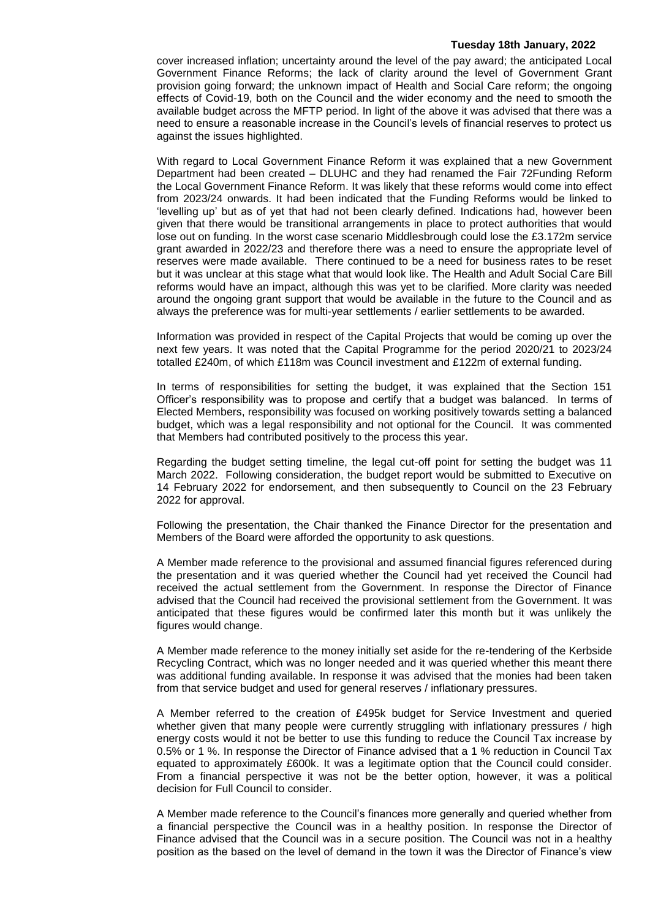#### **Tuesday 18th January, 2022**

cover increased inflation; uncertainty around the level of the pay award; the anticipated Local Government Finance Reforms; the lack of clarity around the level of Government Grant provision going forward; the unknown impact of Health and Social Care reform; the ongoing effects of Covid-19, both on the Council and the wider economy and the need to smooth the available budget across the MFTP period. In light of the above it was advised that there was a need to ensure a reasonable increase in the Council's levels of financial reserves to protect us against the issues highlighted.

With regard to Local Government Finance Reform it was explained that a new Government Department had been created – DLUHC and they had renamed the Fair 72Funding Reform the Local Government Finance Reform. It was likely that these reforms would come into effect from 2023/24 onwards. It had been indicated that the Funding Reforms would be linked to 'levelling up' but as of yet that had not been clearly defined. Indications had, however been given that there would be transitional arrangements in place to protect authorities that would lose out on funding. In the worst case scenario Middlesbrough could lose the £3.172m service grant awarded in 2022/23 and therefore there was a need to ensure the appropriate level of reserves were made available. There continued to be a need for business rates to be reset but it was unclear at this stage what that would look like. The Health and Adult Social Care Bill reforms would have an impact, although this was yet to be clarified. More clarity was needed around the ongoing grant support that would be available in the future to the Council and as always the preference was for multi-year settlements / earlier settlements to be awarded.

Information was provided in respect of the Capital Projects that would be coming up over the next few years. It was noted that the Capital Programme for the period 2020/21 to 2023/24 totalled £240m, of which £118m was Council investment and £122m of external funding.

In terms of responsibilities for setting the budget, it was explained that the Section 151 Officer's responsibility was to propose and certify that a budget was balanced. In terms of Elected Members, responsibility was focused on working positively towards setting a balanced budget, which was a legal responsibility and not optional for the Council. It was commented that Members had contributed positively to the process this year.

Regarding the budget setting timeline, the legal cut-off point for setting the budget was 11 March 2022. Following consideration, the budget report would be submitted to Executive on 14 February 2022 for endorsement, and then subsequently to Council on the 23 February 2022 for approval.

Following the presentation, the Chair thanked the Finance Director for the presentation and Members of the Board were afforded the opportunity to ask questions.

A Member made reference to the provisional and assumed financial figures referenced during the presentation and it was queried whether the Council had yet received the Council had received the actual settlement from the Government. In response the Director of Finance advised that the Council had received the provisional settlement from the Government. It was anticipated that these figures would be confirmed later this month but it was unlikely the figures would change.

A Member made reference to the money initially set aside for the re-tendering of the Kerbside Recycling Contract, which was no longer needed and it was queried whether this meant there was additional funding available. In response it was advised that the monies had been taken from that service budget and used for general reserves / inflationary pressures.

A Member referred to the creation of £495k budget for Service Investment and queried whether given that many people were currently struggling with inflationary pressures / high energy costs would it not be better to use this funding to reduce the Council Tax increase by 0.5% or 1 %. In response the Director of Finance advised that a 1 % reduction in Council Tax equated to approximately £600k. It was a legitimate option that the Council could consider. From a financial perspective it was not be the better option, however, it was a political decision for Full Council to consider.

A Member made reference to the Council's finances more generally and queried whether from a financial perspective the Council was in a healthy position. In response the Director of Finance advised that the Council was in a secure position. The Council was not in a healthy position as the based on the level of demand in the town it was the Director of Finance's view